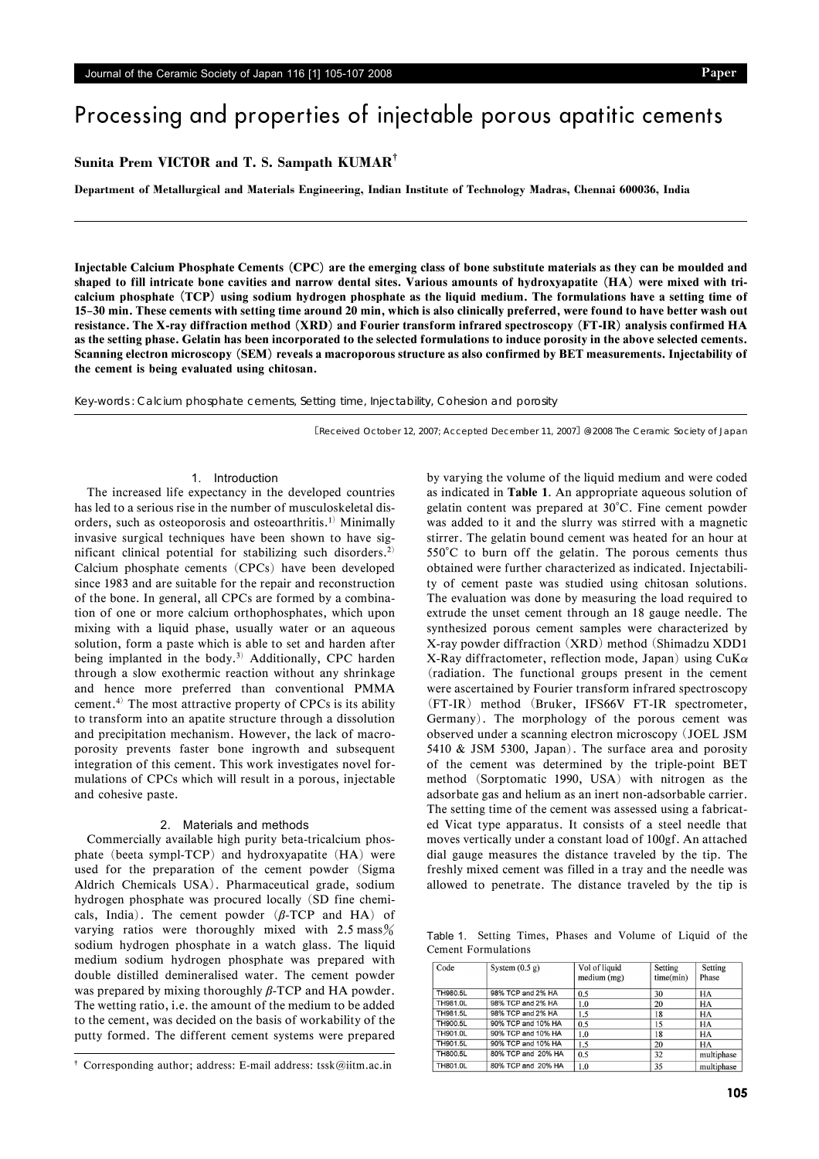# Processing and properties of injectable porous apatitic cements

## **Sunita Prem VICTOR and T. S. Sampath KUMAR**†

**Department of Metallurgical and Materials Engineering, Indian Institute of Technology Madras, Chennai 600036, India**

Injectable Calcium Phosphate Cements (CPC) are the emerging class of bone substitute materials as they can be moulded and shaped to fill intricate bone cavities and narrow dental sites. Various amounts of hydroxyapatite (HA) were mixed with tricalcium phosphate (TCP) using sodium hydrogen phosphate as the liquid medium. The formulations have a setting time of 15–30 min. These cements with setting time around 20 min, which is also clinically preferred, were found to have better wash out resistance. The X-ray diffraction method (XRD) and Fourier transform infrared spectroscopy (FT-IR) analysis confirmed HA as the setting phase. Gelatin has been incorporated to the selected formulations to induce porosity in the above selected cements. Scanning electron microscopy (SEM) reveals a macroporous structure as also confirmed by BET measurements. Injectability of the cement is being evaluated using chitosan.

Key-words : Calcium phosphate cements, Setting time, Injectability, Cohesion and porosity

[Received October 12, 2007; Accepted December 11, 2007] @2008 The Ceramic Society of Japan

## 1. Introduction

The increased life expectancy in the developed countries has led to a serious rise in the number of musculoskeletal disorders, such as osteoporosis and osteoarthritis.1) Minimally invasive surgical techniques have been shown to have significant clinical potential for stabilizing such disorders.<sup>2)</sup> Calcium phosphate cements (CPCs) have been developed since 1983 and are suitable for the repair and reconstruction of the bone. In general, all CPCs are formed by a combination of one or more calcium orthophosphates, which upon mixing with a liquid phase, usually water or an aqueous solution, form a paste which is able to set and harden after being implanted in the body.<sup>3)</sup> Additionally, CPC harden through a slow exothermic reaction without any shrinkage and hence more preferred than conventional PMMA cement.4) The most attractive property of CPCs is its ability to transform into an apatite structure through a dissolution and precipitation mechanism. However, the lack of macroporosity prevents faster bone ingrowth and subsequent integration of this cement. This work investigates novel formulations of CPCs which will result in a porous, injectable and cohesive paste.

### 2. Materials and methods

Commercially available high purity beta-tricalcium phosphate (beeta sympl-TCP) and hydroxyapatite (HA) were used for the preparation of the cement powder (Sigma Aldrich Chemicals USA). Pharmaceutical grade, sodium hydrogen phosphate was procured locally (SD fine chemicals, India). The cement powder  $(\beta$ -TCP and HA) of varying ratios were thoroughly mixed with  $2.5 \text{ mass}\%$ sodium hydrogen phosphate in a watch glass. The liquid medium sodium hydrogen phosphate was prepared with double distilled demineralised water. The cement powder was prepared by mixing thoroughly  $\beta$ -TCP and HA powder. The wetting ratio, i.e. the amount of the medium to be added to the cement, was decided on the basis of workability of the putty formed. The different cement systems were prepared by varying the volume of the liquid medium and were coded as indicated in Table 1. An appropriate aqueous solution of gelatin content was prepared at 30°C. Fine cement powder was added to it and the slurry was stirred with a magnetic stirrer. The gelatin bound cement was heated for an hour at 550°C to burn off the gelatin. The porous cements thus obtained were further characterized as indicated. Injectability of cement paste was studied using chitosan solutions. The evaluation was done by measuring the load required to extrude the unset cement through an 18 gauge needle. The synthesized porous cement samples were characterized by X-ray powder diffraction (XRD) method (Shimadzu XDD1 X-Ray diffractometer, reflection mode, Japan) using  $CuK\alpha$ (radiation. The functional groups present in the cement were ascertained by Fourier transform infrared spectroscopy (FT-IR) method (Bruker, IFS66V FT-IR spectrometer, Germany). The morphology of the porous cement was observed under a scanning electron microscopy (JOEL JSM 5410 & JSM 5300, Japan). The surface area and porosity of the cement was determined by the triple-point BET method (Sorptomatic 1990, USA) with nitrogen as the adsorbate gas and helium as an inert non-adsorbable carrier. The setting time of the cement was assessed using a fabricated Vicat type apparatus. It consists of a steel needle that moves vertically under a constant load of 100gf. An attached dial gauge measures the distance traveled by the tip. The freshly mixed cement was filled in a tray and the needle was allowed to penetrate. The distance traveled by the tip is

Table 1. Setting Times, Phases and Volume of Liquid of the Cement Formulations

| Code            | System $(0.5 g)$   | Vol of liquid<br>median (mg) | Setting<br>time(min) | Setting<br>Phase |
|-----------------|--------------------|------------------------------|----------------------|------------------|
| TH980.5L        | 98% TCP and 2% HA  | 0.5                          | 30                   | <b>HA</b>        |
| TH981.0L        | 98% TCP and 2% HA  | 1.0                          | 20                   | HA               |
| TH981.5L        | 98% TCP and 2% HA  | 1.5                          | 18                   | HA               |
| TH900.5L        | 90% TCP and 10% HA | 0.5                          | 15                   | <b>HA</b>        |
| TH901.0L        | 90% TCP and 10% HA | 1.0                          | 18                   | <b>HA</b>        |
| TH901.5L        | 90% TCP and 10% HA | 1.5                          | 20                   | <b>HA</b>        |
| TH800.5L        | 80% TCP and 20% HA | 0.5                          | 32                   | multiphase       |
| <b>TH801.0L</b> | 80% TCP and 20% HA | 1.0                          | 35                   | multiphase       |

<sup>†</sup> Corresponding author; address: E-mail address: tssk@iitm.ac.in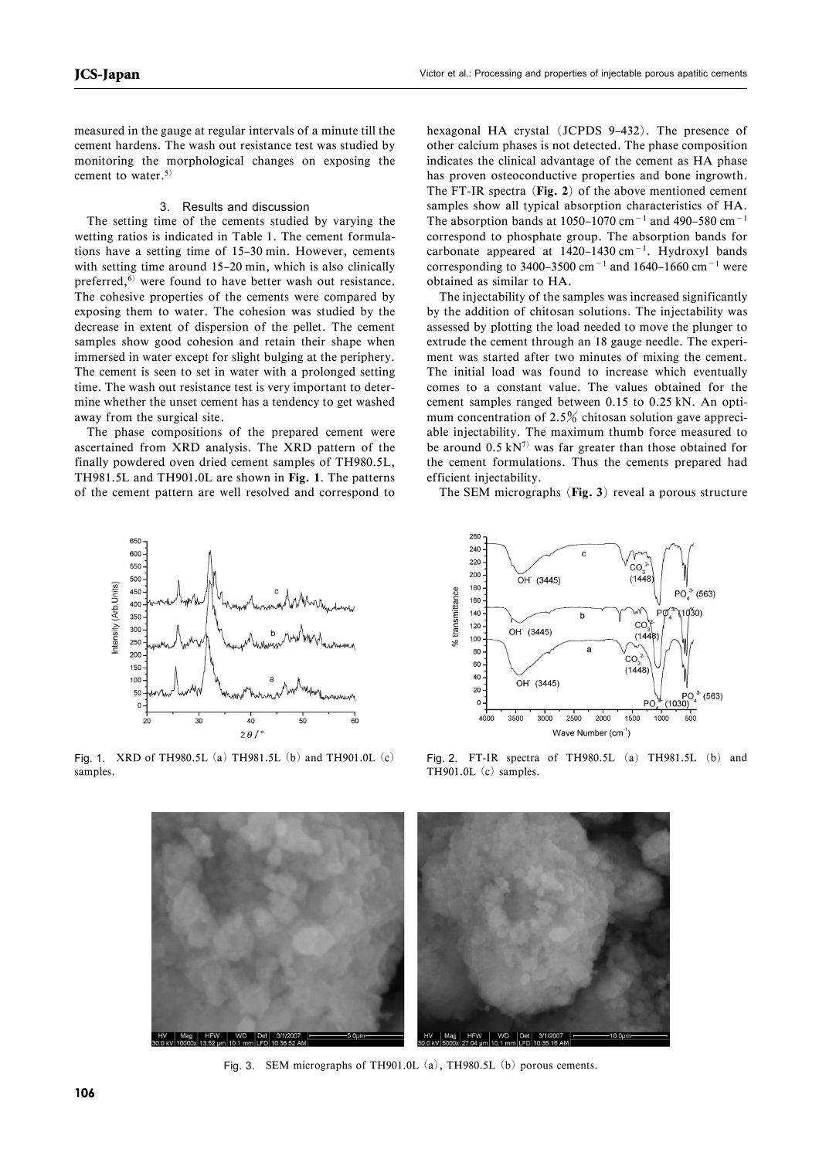measured in the gauge at regular intervals of a minute till the cement hardens. The wash out resistance test was studied by monitoring the morphological changes on exposing the cement to water.<sup>5)</sup>

#### 3. Results and discussion

The setting time of the cements studied by varying the wetting ratios is indicated in Table 1. The cement formulations have a setting time of 15–30 min. However, cements with setting time around 15–20 min, which is also clinically preferred, $6$  were found to have better wash out resistance. The cohesive properties of the cements were compared by exposing them to water. The cohesion was studied by the decrease in extent of dispersion of the pellet. The cement samples show good cohesion and retain their shape when immersed in water except for slight bulging at the periphery. The cement is seen to set in water with a prolonged setting time. The wash out resistance test is very important to determine whether the unset cement has a tendency to get washed away from the surgical site.

The phase compositions of the prepared cement were ascertained from XRD analysis. The XRD pattern of the finally powdered oven dried cement samples of TH980.5L, TH981.5L and TH901.0L are shown in Fig. 1. The patterns of the cement pattern are well resolved and correspond to hexagonal HA crystal (JCPDS 9–432). The presence of other calcium phases is not detected. The phase composition indicates the clinical advantage of the cement as HA phase has proven osteoconductive properties and bone ingrowth. The FT-IR spectra (Fig. 2) of the above mentioned cement samples show all typical absorption characteristics of HA. The absorption bands at 1050–1070 cm<sup>-1</sup> and 490–580 cm<sup>-1</sup> correspond to phosphate group. The absorption bands for carbonate appeared at  $1420-1430$  cm<sup>-1</sup>. Hydroxyl bands corresponding to 3400–3500 cm<sup>-1</sup> and 1640–1660 cm<sup>-1</sup> were obtained as similar to HA.

The injectability of the samples was increased significantly by the addition of chitosan solutions. The injectability was assessed by plotting the load needed to move the plunger to extrude the cement through an 18 gauge needle. The experiment was started after two minutes of mixing the cement. The initial load was found to increase which eventually comes to a constant value. The values obtained for the cement samples ranged between 0.15 to 0.25 kN. An optimum concentration of  $2.5\%$  chitosan solution gave appreciable injectability. The maximum thumb force measured to be around  $0.5 \text{ kN}^7$  was far greater than those obtained for the cement formulations. Thus the cements prepared had efficient injectability.

The SEM micrographs (Fig. 3) reveal a porous structure





Fig. 1. XRD of TH980.5L (a) TH981.5L (b) and TH901.0L (c) samples.

Fig. 2. FT-IR spectra of TH980.5L (a) TH981.5L (b) and TH901.0L (c) samples.



Fig. 3. SEM micrographs of TH901.0L (a), TH980.5L (b) porous cements.